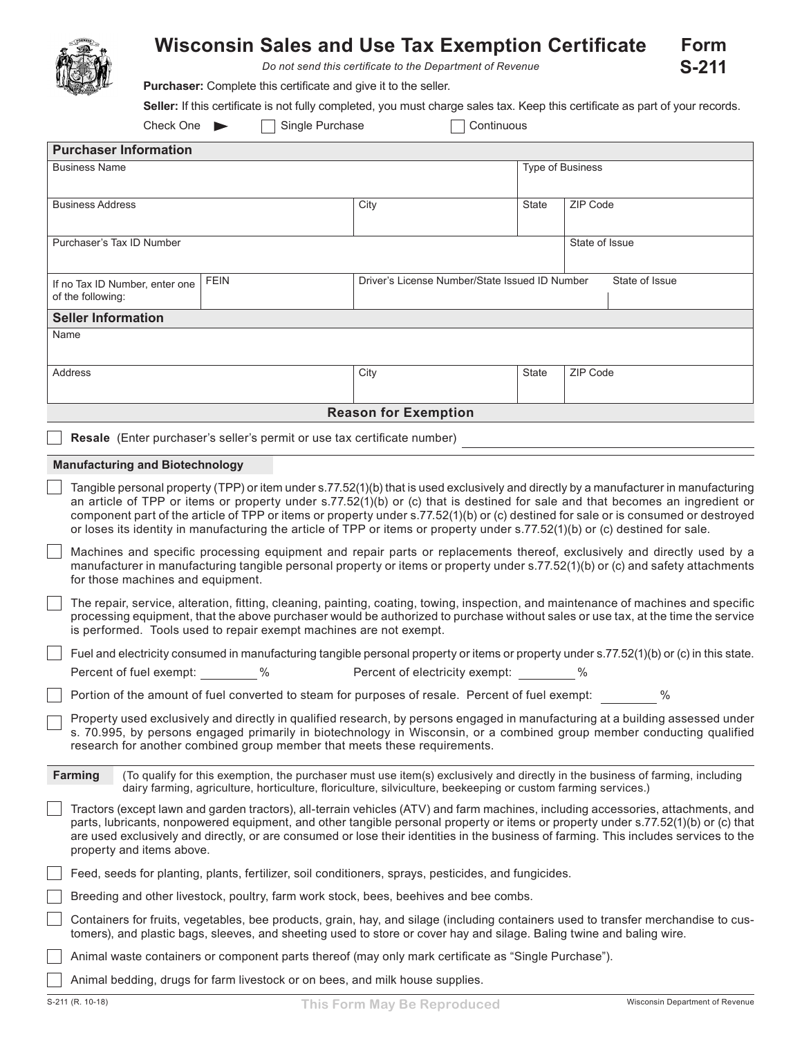## **Wisconsin Sales and Use Tax Exemption Certificate Form S-211**

*Do not send this certificate to the Department of Revenue*

**Purchaser:** Complete this certificate and give it to the seller.

**Seller:** If this certificate is not fully completed, you must charge sales tax. Keep this certificate as part of your records.

| Check One |  |  |
|-----------|--|--|
|-----------|--|--|

Single Purchase Continuous

| <b>Purchaser Information</b>                                                                                                                                                                                                                                                                                                                                                                                                                                                                                                                 |                                                                          |                                                                                                               |       |                                                                                                                                          |  |  |  |
|----------------------------------------------------------------------------------------------------------------------------------------------------------------------------------------------------------------------------------------------------------------------------------------------------------------------------------------------------------------------------------------------------------------------------------------------------------------------------------------------------------------------------------------------|--------------------------------------------------------------------------|---------------------------------------------------------------------------------------------------------------|-------|------------------------------------------------------------------------------------------------------------------------------------------|--|--|--|
| <b>Business Name</b>                                                                                                                                                                                                                                                                                                                                                                                                                                                                                                                         |                                                                          |                                                                                                               |       | Type of Business                                                                                                                         |  |  |  |
|                                                                                                                                                                                                                                                                                                                                                                                                                                                                                                                                              |                                                                          |                                                                                                               |       |                                                                                                                                          |  |  |  |
| <b>Business Address</b>                                                                                                                                                                                                                                                                                                                                                                                                                                                                                                                      |                                                                          | City                                                                                                          | State | ZIP Code                                                                                                                                 |  |  |  |
| Purchaser's Tax ID Number                                                                                                                                                                                                                                                                                                                                                                                                                                                                                                                    |                                                                          |                                                                                                               |       | State of Issue                                                                                                                           |  |  |  |
|                                                                                                                                                                                                                                                                                                                                                                                                                                                                                                                                              |                                                                          |                                                                                                               |       |                                                                                                                                          |  |  |  |
| If no Tax ID Number, enter one<br>of the following:                                                                                                                                                                                                                                                                                                                                                                                                                                                                                          | <b>FEIN</b>                                                              | Driver's License Number/State Issued ID Number<br>State of Issue                                              |       |                                                                                                                                          |  |  |  |
| <b>Seller Information</b>                                                                                                                                                                                                                                                                                                                                                                                                                                                                                                                    |                                                                          |                                                                                                               |       |                                                                                                                                          |  |  |  |
| Name                                                                                                                                                                                                                                                                                                                                                                                                                                                                                                                                         |                                                                          |                                                                                                               |       |                                                                                                                                          |  |  |  |
| Address                                                                                                                                                                                                                                                                                                                                                                                                                                                                                                                                      |                                                                          | City                                                                                                          | State | ZIP Code                                                                                                                                 |  |  |  |
|                                                                                                                                                                                                                                                                                                                                                                                                                                                                                                                                              |                                                                          | <b>Reason for Exemption</b>                                                                                   |       |                                                                                                                                          |  |  |  |
|                                                                                                                                                                                                                                                                                                                                                                                                                                                                                                                                              |                                                                          |                                                                                                               |       |                                                                                                                                          |  |  |  |
|                                                                                                                                                                                                                                                                                                                                                                                                                                                                                                                                              | Resale (Enter purchaser's seller's permit or use tax certificate number) |                                                                                                               |       |                                                                                                                                          |  |  |  |
| <b>Manufacturing and Biotechnology</b>                                                                                                                                                                                                                                                                                                                                                                                                                                                                                                       |                                                                          |                                                                                                               |       |                                                                                                                                          |  |  |  |
| Tangible personal property (TPP) or item under s.77.52(1)(b) that is used exclusively and directly by a manufacturer in manufacturing<br>an article of TPP or items or property under s.77.52(1)(b) or (c) that is destined for sale and that becomes an ingredient or<br>component part of the article of TPP or items or property under s.77.52(1)(b) or (c) destined for sale or is consumed or destroyed<br>or loses its identity in manufacturing the article of TPP or items or property under s.77.52(1)(b) or (c) destined for sale. |                                                                          |                                                                                                               |       |                                                                                                                                          |  |  |  |
| Machines and specific processing equipment and repair parts or replacements thereof, exclusively and directly used by a<br>manufacturer in manufacturing tangible personal property or items or property under s.77.52(1)(b) or (c) and safety attachments<br>for those machines and equipment.                                                                                                                                                                                                                                              |                                                                          |                                                                                                               |       |                                                                                                                                          |  |  |  |
| The repair, service, alteration, fitting, cleaning, painting, coating, towing, inspection, and maintenance of machines and specific<br>processing equipment, that the above purchaser would be authorized to purchase without sales or use tax, at the time the service<br>is performed. Tools used to repair exempt machines are not exempt.                                                                                                                                                                                                |                                                                          |                                                                                                               |       |                                                                                                                                          |  |  |  |
|                                                                                                                                                                                                                                                                                                                                                                                                                                                                                                                                              |                                                                          |                                                                                                               |       | Fuel and electricity consumed in manufacturing tangible personal property or items or property under s.77.52(1)(b) or (c) in this state. |  |  |  |
| Percent of fuel exempt: %                                                                                                                                                                                                                                                                                                                                                                                                                                                                                                                    |                                                                          | Percent of electricity exempt: \tml>%                                                                         |       |                                                                                                                                          |  |  |  |
|                                                                                                                                                                                                                                                                                                                                                                                                                                                                                                                                              |                                                                          | Portion of the amount of fuel converted to steam for purposes of resale. Percent of fuel exempt:              |       | $\%$                                                                                                                                     |  |  |  |
| Property used exclusively and directly in qualified research, by persons engaged in manufacturing at a building assessed under<br>s. 70.995, by persons engaged primarily in biotechnology in Wisconsin, or a combined group member conducting qualified<br>research for another combined group member that meets these requirements.                                                                                                                                                                                                        |                                                                          |                                                                                                               |       |                                                                                                                                          |  |  |  |
| Farming                                                                                                                                                                                                                                                                                                                                                                                                                                                                                                                                      |                                                                          | dairy farming, agriculture, horticulture, floriculture, silviculture, beekeeping or custom farming services.) |       | (To qualify for this exemption, the purchaser must use item(s) exclusively and directly in the business of farming, including            |  |  |  |
| Tractors (except lawn and garden tractors), all-terrain vehicles (ATV) and farm machines, including accessories, attachments, and<br>parts, lubricants, nonpowered equipment, and other tangible personal property or items or property under s.77.52(1)(b) or (c) that<br>are used exclusively and directly, or are consumed or lose their identities in the business of farming. This includes services to the<br>property and items above.                                                                                                |                                                                          |                                                                                                               |       |                                                                                                                                          |  |  |  |
| Feed, seeds for planting, plants, fertilizer, soil conditioners, sprays, pesticides, and fungicides.                                                                                                                                                                                                                                                                                                                                                                                                                                         |                                                                          |                                                                                                               |       |                                                                                                                                          |  |  |  |
| Breeding and other livestock, poultry, farm work stock, bees, beehives and bee combs.                                                                                                                                                                                                                                                                                                                                                                                                                                                        |                                                                          |                                                                                                               |       |                                                                                                                                          |  |  |  |
| Containers for fruits, vegetables, bee products, grain, hay, and silage (including containers used to transfer merchandise to cus-<br>tomers), and plastic bags, sleeves, and sheeting used to store or cover hay and silage. Baling twine and baling wire.                                                                                                                                                                                                                                                                                  |                                                                          |                                                                                                               |       |                                                                                                                                          |  |  |  |
| Animal waste containers or component parts thereof (may only mark certificate as "Single Purchase").                                                                                                                                                                                                                                                                                                                                                                                                                                         |                                                                          |                                                                                                               |       |                                                                                                                                          |  |  |  |
| Animal bedding, drugs for farm livestock or on bees, and milk house supplies.                                                                                                                                                                                                                                                                                                                                                                                                                                                                |                                                                          |                                                                                                               |       |                                                                                                                                          |  |  |  |